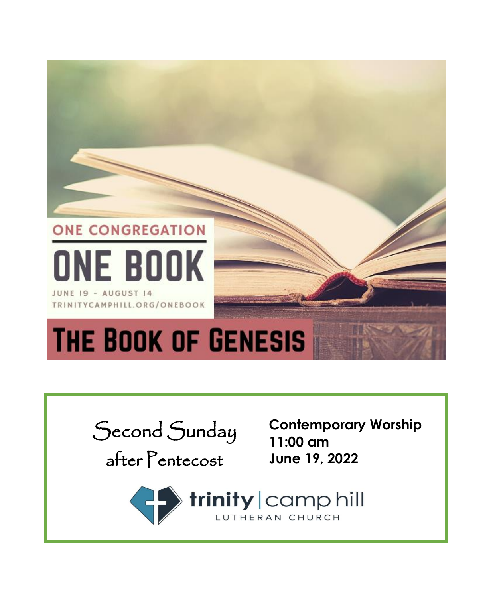

trinity | camp hill LUTHERAN CHURCH



**Contemporary Worship 11:00 am June 19, 2022**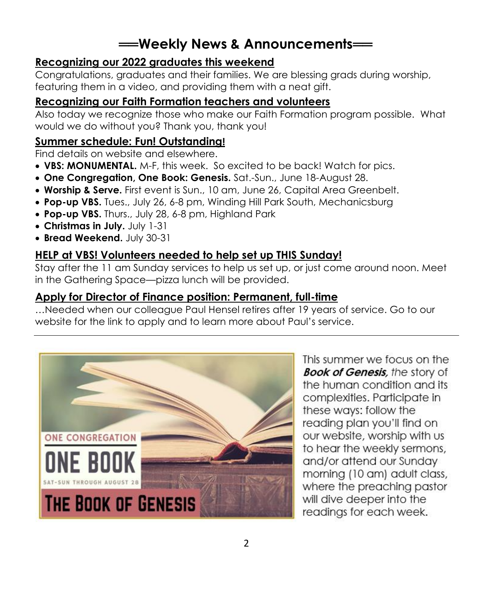# **══Weekly News & Announcements══**

# **Recognizing our 2022 graduates this weekend**

Congratulations, graduates and their families. We are blessing grads during worship, featuring them in a video, and providing them with a neat gift.

# **Recognizing our Faith Formation teachers and volunteers**

Also today we recognize those who make our Faith Formation program possible. What would we do without you? Thank you, thank you!

# **Summer schedule: Fun! Outstanding!**

Find details on website and elsewhere.

- **VBS: MONUMENTAL.** M-F, this week. So excited to be back! Watch for pics.
- **One Congregation, One Book: Genesis.** Sat.-Sun., June 18-August 28.
- **Worship & Serve.** First event is Sun., 10 am, June 26, Capital Area Greenbelt.
- **Pop-up VBS.** Tues., July 26, 6-8 pm, Winding Hill Park South, Mechanicsburg
- **Pop-up VBS.** Thurs., July 28, 6-8 pm, Highland Park
- **Christmas in July.** July 1-31
- **Bread Weekend.** July 30-31

# **HELP at VBS! Volunteers needed to help set up THIS Sunday!**

Stay after the 11 am Sunday services to help us set up, or just come around noon. Meet in the Gathering Space—pizza lunch will be provided.

# **Apply for Director of Finance position: Permanent, full-time**

…Needed when our colleague Paul Hensel retires after 19 years of service. Go to our website for the link to apply and to learn more about Paul's service.



This summer we focus on the **Book of Genesis**, the story of the human condition and its complexities. Participate in these ways: follow the reading plan you'll find on our website, worship with us to hear the weekly sermons, and/or attend our Sunday morning (10 am) adult class, where the preaching pastor will dive deeper into the readings for each week.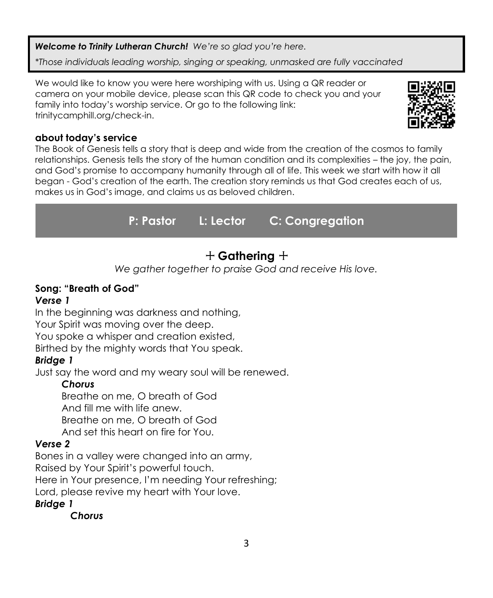*Welcome to Trinity Lutheran Church! We're so glad you're here.* 

*\*Those individuals leading worship, singing or speaking, unmasked are fully vaccinated*

We would like to know you were here worshiping with us. Using a QR reader or camera on your mobile device, please scan this QR code to check you and your family into today's worship service. Or go to the following link: trinitycamphill.org/check-in.



#### **about today's service**

The Book of Genesis tells a story that is deep and wide from the creation of the cosmos to family relationships. Genesis tells the story of the human condition and its complexities – the joy, the pain, and God's promise to accompany humanity through all of life. This week we start with how it all began - God's creation of the earth. The creation story reminds us that God creates each of us, makes us in God's image, and claims us as beloved children.

**P: Pastor L: Lector C: Congregation**

# + **Gathering** +

*We gather together to praise God and receive His love.*

# **Song: "Breath of God"**

### *Verse 1*

In the beginning was darkness and nothing, Your Spirit was moving over the deep.

You spoke a whisper and creation existed,

Birthed by the mighty words that You speak.

# *Bridge 1*

Just say the word and my weary soul will be renewed.

# *Chorus*

Breathe on me, O breath of God And fill me with life anew. Breathe on me, O breath of God And set this heart on fire for You.

### *Verse 2*

Bones in a valley were changed into an army,

Raised by Your Spirit's powerful touch.

Here in Your presence, I'm needing Your refreshing;

Lord, please revive my heart with Your love.

# *Bridge 1*

*Chorus*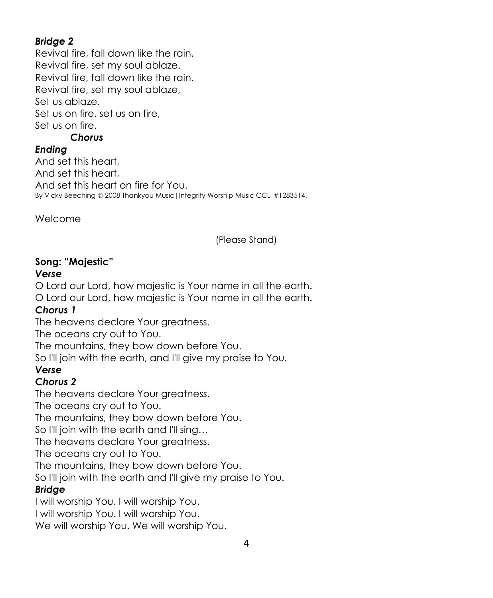# *Bridge 2*

Revival fire, fall down like the rain. Revival fire, set my soul ablaze. Revival fire, fall down like the rain. Revival fire, set my soul ablaze, Set us ablaze. Set us on fire, set us on fire, Set us on fire.

# *Chorus*

# *Ending*

And set this heart, And set this heart, And set this heart on fire for You. By Vicky Beeching © 2008 Thankyou Music|Integrity Worship Music CCLI #1283514.

Welcome

(Please Stand)

#### **Song: "Majestic"** *Verse*

O Lord our Lord, how majestic is Your name in all the earth.

O Lord our Lord, how majestic is Your name in all the earth.

# *Chorus 1*

The heavens declare Your areatness.

The oceans cry out to You.

The mountains, they bow down before You.

So I'll join with the earth, and I'll give my praise to You.

# *Verse*

# *Chorus 2*

The heavens declare Your greatness.

The oceans cry out to You.

The mountains, they bow down before You.

So I'll join with the earth and I'll sing...

The heavens declare Your greatness.

The oceans cry out to You.

The mountains, they bow down before You.

So I'll join with the earth and I'll give my praise to You.

# *Bridge*

I will worship You. I will worship You. I will worship You. I will worship You. We will worship You. We will worship You.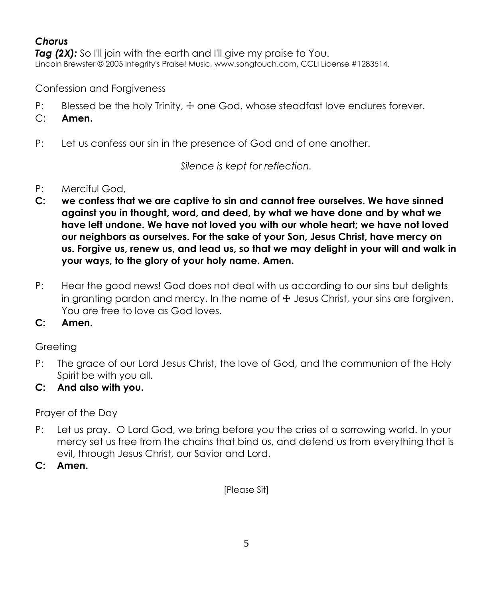# *Chorus*

**Tag (2X):** So I'll join with the earth and I'll give my praise to You. Lincoln Brewster © 2005 Integrity's Praise! Music, www.songtouch.com, CCLI License #1283514.

Confession and Forgiveness

- P: Blessed be the holy Trinity,  $\pm$  one God, whose steadfast love endures forever.
- C: **Amen.**
- P: Let us confess our sin in the presence of God and of one another.

*Silence is kept for reflection.*

- P: Merciful God,
- **C: we confess that we are captive to sin and cannot free ourselves. We have sinned against you in thought, word, and deed, by what we have done and by what we have left undone. We have not loved you with our whole heart; we have not loved our neighbors as ourselves. For the sake of your Son, Jesus Christ, have mercy on us. Forgive us, renew us, and lead us, so that we may delight in your will and walk in your ways, to the glory of your holy name. Amen.**
- P: Hear the good news! God does not deal with us according to our sins but delights in granting pardon and mercy. In the name of  $\pm$  Jesus Christ, your sins are forgiven. You are free to love as God loves.
- **C: Amen.**

Greeting

- P: The grace of our Lord Jesus Christ, the love of God, and the communion of the Holy Spirit be with you all.
- **C: And also with you.**

Prayer of the Day

- P: Let us pray. O Lord God, we bring before you the cries of a sorrowing world. In your mercy set us free from the chains that bind us, and defend us from everything that is evil, through Jesus Christ, our Savior and Lord.
- **C: Amen.**

[Please Sit]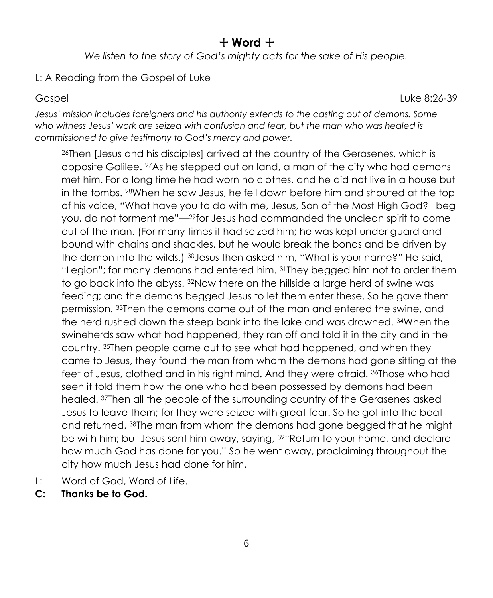# $+$  Word  $+$

*We listen to the story of God's mighty acts for the sake of His people.*

# L: A Reading from the Gospel of Luke

Gospel Luke 8:26-39

*Jesus' mission includes foreigners and his authority extends to the casting out of demons. Some who witness Jesus' work are seized with confusion and fear, but the man who was healed is commissioned to give testimony to God's mercy and power.*

<sup>26</sup>Then [Jesus and his disciples] arrived at the country of the Gerasenes, which is opposite Galilee. <sup>27</sup>As he stepped out on land, a man of the city who had demons met him. For a long time he had worn no clothes, and he did not live in a house but in the tombs. <sup>28</sup>When he saw Jesus, he fell down before him and shouted at the top of his voice, "What have you to do with me, Jesus, Son of the Most High God? I beg you, do not torment me"—29for Jesus had commanded the unclean spirit to come out of the man. (For many times it had seized him; he was kept under guard and bound with chains and shackles, but he would break the bonds and be driven by the demon into the wilds.) <sup>30</sup>Jesus then asked him, "What is your name?" He said, "Legion"; for many demons had entered him. <sup>31</sup>They begged him not to order them to go back into the abyss. <sup>32</sup>Now there on the hillside a large herd of swine was feeding; and the demons begged Jesus to let them enter these. So he gave them permission. <sup>33</sup>Then the demons came out of the man and entered the swine, and the herd rushed down the steep bank into the lake and was drowned. <sup>34</sup>When the swineherds saw what had happened, they ran off and told it in the city and in the country. <sup>35</sup>Then people came out to see what had happened, and when they came to Jesus, they found the man from whom the demons had gone sitting at the feet of Jesus, clothed and in his right mind. And they were afraid. <sup>36</sup>Those who had seen it told them how the one who had been possessed by demons had been healed. <sup>37</sup>Then all the people of the surrounding country of the Gerasenes asked Jesus to leave them; for they were seized with great fear. So he got into the boat and returned. <sup>38</sup>The man from whom the demons had gone begged that he might be with him; but Jesus sent him away, saying,  $39$ <sup>th</sup> Return to your home, and declare how much God has done for you." So he went away, proclaiming throughout the city how much Jesus had done for him.

- L: Word of God, Word of Life.
- **C: Thanks be to God.**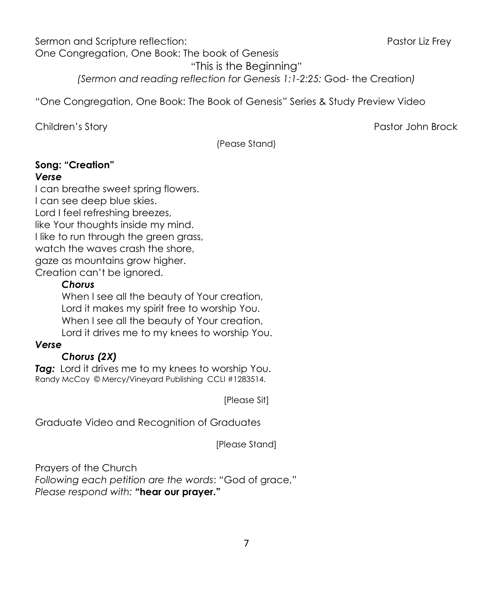#### Sermon and Scripture reflection: etc. And the series of the Pastor Liz Frey

One Congregation, One Book: The book of Genesis

"This is the Beginning"

*(Sermon and reading reflection for Genesis 1:1-2:25:* God- the Creation*)*

"One Congregation, One Book: The Book of Genesis" Series & Study Preview Video

Children's Story Pastor John Brock

(Pease Stand)

# **Song: "Creation"**

#### *Verse*

I can breathe sweet spring flowers. I can see deep blue skies. Lord I feel refreshing breezes, like Your thoughts inside my mind. I like to run through the green grass, watch the waves crash the shore, gaze as mountains grow higher.

Creation can't be ignored.

### *Chorus*

When I see all the beauty of Your creation, Lord it makes my spirit free to worship You. When I see all the beauty of Your creation, Lord it drives me to my knees to worship You.

### *Verse*

# *Chorus (2X)*

**Tag:** Lord it drives me to my knees to worship You. Randy McCoy © Mercy/Vineyard Publishing CCLI #1283514.

[Please Sit]

Graduate Video and Recognition of Graduates

[Please Stand]

Prayers of the Church

*Following each petition are the words*: "God of grace," *Please respond with:* **"hear our prayer."**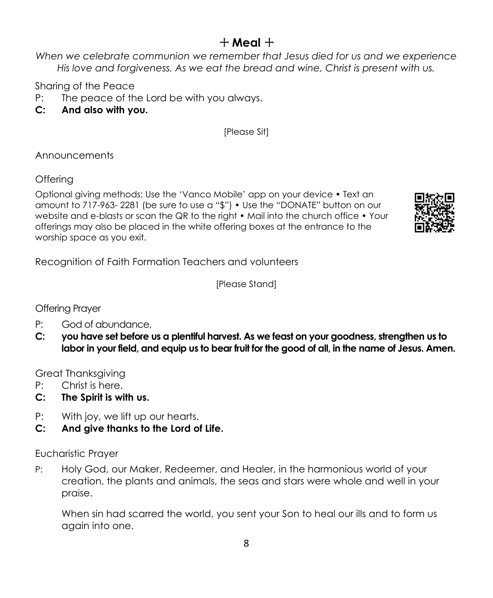# + **Meal** +

*When we celebrate communion we remember that Jesus died for us and we experience His love and forgiveness. As we eat the bread and wine, Christ is present with us.*

Sharing of the Peace

- P: The peace of the Lord be with you always.
- **C: And also with you.**

[Please Sit]

Announcements

# **Offering**

Optional giving methods: Use the 'Vanco Mobile' app on your device • Text an amount to 717-963- 2281 (be sure to use a "\$") • Use the "DONATE" button on our website and e-blasts or scan the QR to the right • Mail into the church office • Your offerings may also be placed in the white offering boxes at the entrance to the worship space as you exit.



Recognition of Faith Formation Teachers and volunteers

[Please Stand]

Offering Prayer

- P: God of abundance,
- **C: you have set before us a plentiful harvest. As we feast on your goodness, strengthen us to labor in your field, and equip us to bear fruit for the good of all, in the name of Jesus. Amen.**

Great Thanksgiving

- P: Christ is here.
- **C: The Spirit is with us.**
- P: With joy, we lift up our hearts.
- **C: And give thanks to the Lord of Life.**

Eucharistic Prayer

P: Holy God, our Maker, Redeemer, and Healer, in the harmonious world of your creation, the plants and animals, the seas and stars were whole and well in your praise.

When sin had scarred the world, you sent your Son to heal our ills and to form us again into one.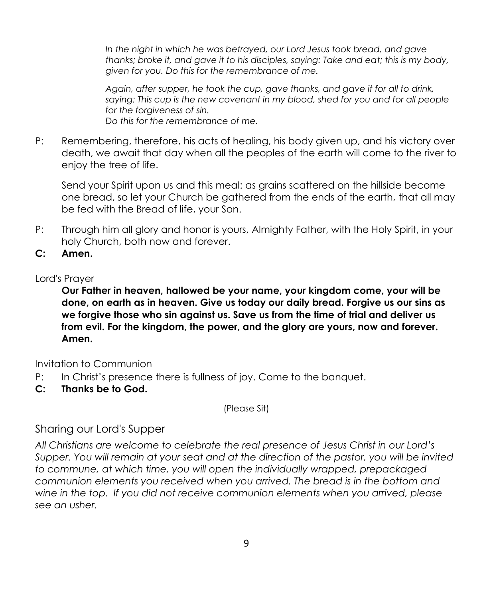*In the night in which he was betrayed, our Lord Jesus took bread, and gave thanks; broke it, and gave it to his disciples, saying: Take and eat; this is my body, given for you. Do this for the remembrance of me.*

*Again, after supper, he took the cup, gave thanks, and gave it for all to drink, saying: This cup is the new covenant in my blood, shed for you and for all people for the forgiveness of sin.*

*Do this for the remembrance of me.*

P: Remembering, therefore, his acts of healing, his body given up, and his victory over death, we await that day when all the peoples of the earth will come to the river to enjoy the tree of life.

Send your Spirit upon us and this meal: as grains scattered on the hillside become one bread, so let your Church be gathered from the ends of the earth, that all may be fed with the Bread of life, your Son.

- P: Through him all glory and honor is yours, Almighty Father, with the Holy Spirit, in your holy Church, both now and forever.
- **C: Amen.**

# Lord's Prayer

**Our Father in heaven, hallowed be your name, your kingdom come, your will be done, on earth as in heaven. Give us today our daily bread. Forgive us our sins as we forgive those who sin against us. Save us from the time of trial and deliver us from evil. For the kingdom, the power, and the glory are yours, now and forever. Amen.**

Invitation to Communion

- P: In Christ's presence there is fullness of joy. Come to the banquet.
- **C: Thanks be to God.**

(Please Sit)

# Sharing our Lord's Supper

*All Christians are welcome to celebrate the real presence of Jesus Christ in our Lord's Supper. You will remain at your seat and at the direction of the pastor, you will be invited to commune, at which time, you will open the individually wrapped, prepackaged communion elements you received when you arrived. The bread is in the bottom and wine in the top. If you did not receive communion elements when you arrived, please see an usher.*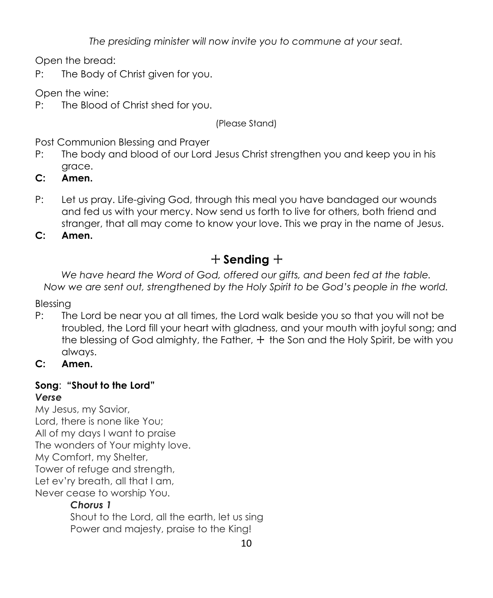*The presiding minister will now invite you to commune at your seat.*

Open the bread:

P: The Body of Christ given for you.

Open the wine:

P: The Blood of Christ shed for you.

(Please Stand)

Post Communion Blessing and Prayer

- P: The body and blood of our Lord Jesus Christ strengthen you and keep you in his grace.
- **C: Amen.**
- P: Let us pray. Life-giving God, through this meal you have bandaged our wounds and fed us with your mercy. Now send us forth to live for others, both friend and stranger, that all may come to know your love. This we pray in the name of Jesus.

**C: Amen.**

# + **Sending** +

*We have heard the Word of God, offered our gifts, and been fed at the table. Now we are sent out, strengthened by the Holy Spirit to be God's people in the world.*

Blessing

P: The Lord be near you at all times, the Lord walk beside you so that you will not be troubled, the Lord fill your heart with gladness, and your mouth with joyful song; and the blessing of God almighty, the Father,  $+$  the Son and the Holy Spirit, be with you always.

**C: Amen.**

# **Song**: **"Shout to the Lord"**

# *Verse*

My Jesus, my Savior, Lord, there is none like You; All of my days I want to praise The wonders of Your mighty love. My Comfort, my Shelter, Tower of refuge and strength, Let ev'ry breath, all that I am, Never cease to worship You.

# *Chorus 1*

Shout to the Lord, all the earth, let us sing Power and majesty, praise to the King!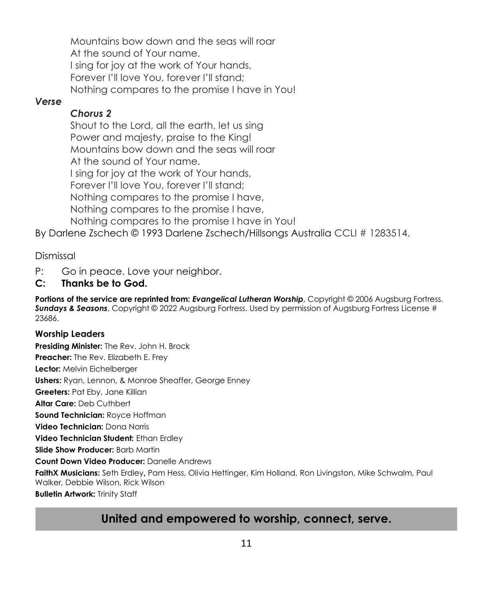Mountains bow down and the seas will roar At the sound of Your name. I sing for joy at the work of Your hands, Forever I'll love You, forever I'll stand; Nothing compares to the promise I have in You!

#### *Verse*

#### *Chorus 2*

Shout to the Lord, all the earth, let us sing Power and majesty, praise to the King! Mountains bow down and the seas will roar At the sound of Your name. I sing for joy at the work of Your hands, Forever I'll love You, forever I'll stand: Nothing compares to the promise I have, Nothing compares to the promise I have, Nothing compares to the promise I have in You! By Darlene Zschech © 1993 Darlene Zschech/Hillsongs Australia CCLI # 1283514.

#### Dismissal

P: Go in peace. Love your neighbor.

#### **C: Thanks be to God.**

**Portions of the service are reprinted from:** *Evangelical Lutheran Worship*, Copyright © 2006 Augsburg Fortress. *Sundays & Seasons*, Copyright © 2022 Augsburg Fortress. Used by permission of Augsburg Fortress License # 23686.

#### **Worship Leaders**

**Presiding Minister:** The Rev. John H. Brock **Preacher:** The Rev. Elizabeth E. Frey **Lector:** Melvin Eichelberger **Ushers:** Ryan, Lennon, & Monroe Sheaffer, George Enney **Greeters:** Pat Eby, Jane Killian **Altar Care:** Deb Cuthbert **Sound Technician:** Royce Hoffman **Video Technician:** Dona Norris **Video Technician Student:** Ethan Erdley **Slide Show Producer:** Barb Martin **Count Down Video Producer:** Danelle Andrews **FaithX Musicians:** Seth Erdley**,** Pam Hess, Olivia Hettinger, Kim Holland, Ron Livingston, Mike Schwalm, Paul Walker, Debbie Wilson, Rick Wilson **Bulletin Artwork:** Trinity Staff

# **United and empowered to worship, connect, serve.**